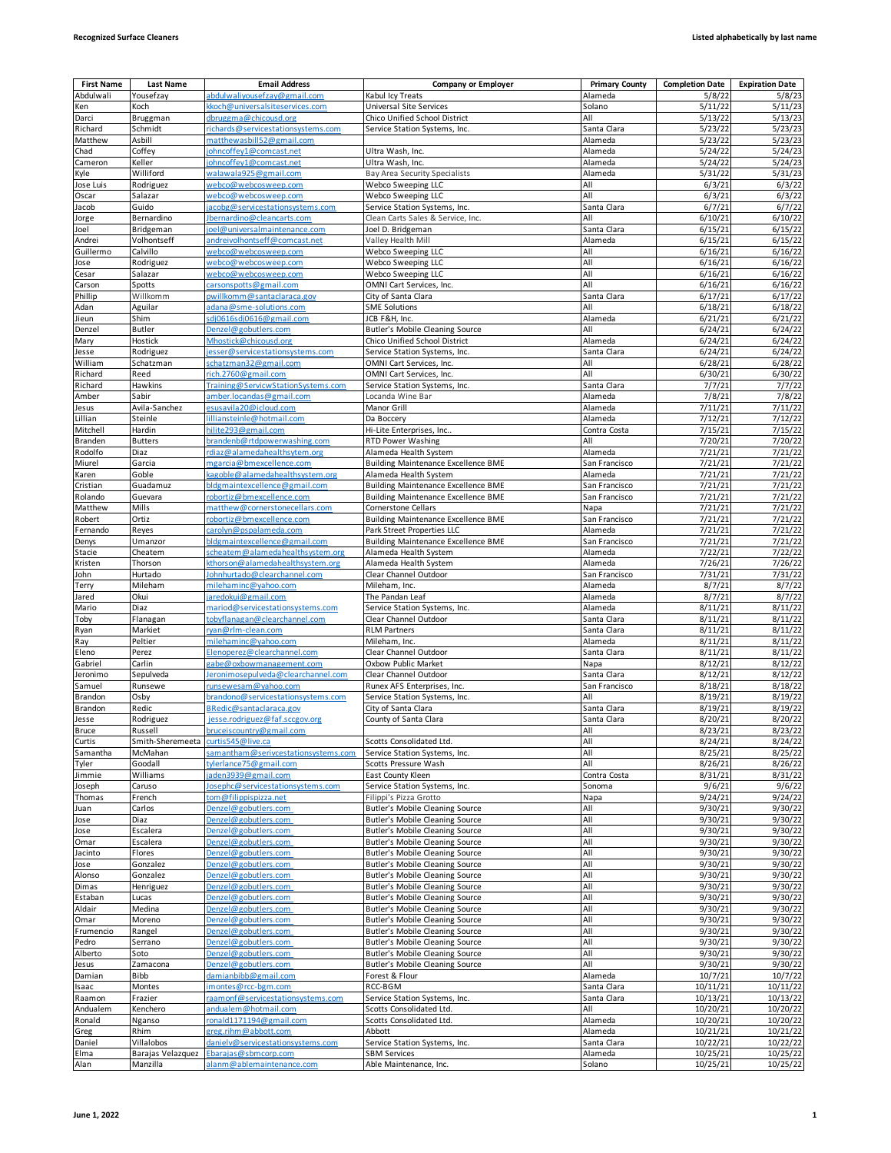| <b>First Name</b> | Last Name               | <b>Email Address</b>                                        | <b>Company or Employer</b>                                          | <b>Primary County</b>    | <b>Completion Date</b> | <b>Expiration Date</b> |
|-------------------|-------------------------|-------------------------------------------------------------|---------------------------------------------------------------------|--------------------------|------------------------|------------------------|
| Abdulwali         | Yousefzay               | abdulwaliyousefzay@gmail.com                                | Kabul Icy Treats                                                    | Alameda                  | 5/8/22                 | 5/8/23                 |
| Ken               | Koch                    | koch@universalsiteservices.com                              | Universal Site Services                                             | Solano                   | 5/11/22                | 5/11/23                |
| Darci             | Bruggman                | dbruggma@chicousd.org                                       | Chico Unified School District                                       | All                      | 5/13/22                | 5/13/23                |
| Richard           | Schmidt                 | richards@servicestationsystems.com                          | Service Station Systems, Inc.                                       | Santa Clara              | 5/23/22                | 5/23/23                |
| Matthew           | Asbill                  | matthewasbill52@gmail.com                                   |                                                                     | Alameda                  | 5/23/22                | 5/23/23                |
| Chad              | Coffey                  | johncoffey1@comcast.net                                     | Ultra Wash, Inc.                                                    | Alameda                  | 5/24/22                | 5/24/23                |
| Cameron           | Keller                  | ohncoffey1@comcast.net                                      | Ultra Wash, Inc.                                                    | Alameda                  | 5/24/22                | 5/24/23                |
| Kyle              | Williford               | walawala925@gmail.com                                       | Bay Area Security Specialists                                       | Alameda                  | 5/31/22                | 5/31/23                |
| Jose Luis         | Rodriguez               | <u>webco@webcosweep.com</u>                                 | Webco Sweeping LLC                                                  | All                      | 6/3/21                 | 6/3/22                 |
| Oscar             | Salazar                 | webco@webcosweep.com                                        | Webco Sweeping LLC                                                  | All                      | 6/3/21                 | 6/3/22                 |
| Jacob             | Guido                   | jacobg@servicestationsystems.com                            | Service Station Systems, Inc.                                       | Santa Clara              | 6/7/21                 | 6/7/22                 |
| Jorge<br>Joel     | Bernardino<br>Bridgeman | Jbernardino@cleancarts.com<br>joel@universalmaintenance.com | Clean Carts Sales & Service, Inc.<br>Joel D. Bridgeman              | All<br>Santa Clara       | 6/10/21<br>6/15/21     | 6/10/22<br>6/15/22     |
| Andrei            | Volhontseff             | andreivolhontseff@comcast.net                               | Valley Health Mill                                                  | Alameda                  | 6/15/21                | 6/15/22                |
| Guillermo         | Calvillo                | webco@webcosweep.com                                        | Webco Sweeping LLC                                                  | All                      | 6/16/21                | 6/16/22                |
| Jose              | Rodriguez               | webco@webcosweep.com                                        | Webco Sweeping LLC                                                  | All                      | 6/16/21                | 6/16/22                |
| Cesar             | Salazar                 | webco@webcosweep.com                                        | Webco Sweeping LLC                                                  | All                      | 6/16/21                | 6/16/22                |
| Carson            | Spotts                  | carsonspotts@gmail.com                                      | OMNI Cart Services, Inc.                                            | All                      | 6/16/21                | 6/16/22                |
| Phillip           | Willkomm                | pwillkomm@santaclaraca.gov                                  | City of Santa Clara                                                 | Santa Clara              | 6/17/21                | 6/17/22                |
| Adan              | Aguilar                 | adana@sme-solutions.com                                     | <b>SME Solutions</b>                                                | All                      | 6/18/21                | 6/18/22                |
| Jieun             | Shim                    | sdj0616sdj0616@gmail.com                                    | JCB F&H, Inc.                                                       | Alameda                  | 6/21/21                | 6/21/22                |
| Denzel            | <b>Butler</b>           | Denzel@gobutlers.com                                        | <b>Butler's Mobile Cleaning Source</b>                              | All                      | 6/24/21                | 6/24/22                |
| Mary              | Hostick                 | Mhostick@chicousd.org                                       | Chico Unified School District                                       | Alameda                  | 6/24/21                | 6/24/22                |
| Jesse             | Rodriguez               | jesser@servicestationsystems.com                            | Service Station Systems, Inc.                                       | Santa Clara              | 6/24/21                | 6/24/22                |
| William           | Schatzman               | schatzman32@gmail.com                                       | OMNI Cart Services, Inc.                                            | All                      | 6/28/21                | 6/28/22                |
| Richard           | Reed                    | rich.2760@gmail.com                                         | OMNI Cart Services, Inc.                                            | All                      | 6/30/21                | 6/30/22                |
| Richard           | Hawkins                 | Training@ServicwStationSystems.com                          | Service Station Systems, Inc.                                       | Santa Clara              | 7/7/21                 | 7/7/22                 |
| Amber             | Sabir                   | amber.locandas@gmail.com                                    | Locanda Wine Bar                                                    | Alameda                  | 7/8/21                 | 7/8/22                 |
| Jesus             | Avila-Sanchez           | esus avila 20@icloud.com                                    | Manor Grill                                                         | Alameda                  | 7/11/21                | 7/11/22                |
| Lillian           | Steinle                 | lilliansteinle@hotmail.com                                  | Da Boccery                                                          | Alameda                  | 7/12/21                | 7/12/22                |
| Mitchell          | Hardin                  | hilite293@gmail.com                                         | Hi-Lite Enterprises, Inc                                            | Contra Costa             | 7/15/21                | 7/15/22                |
| Branden           | <b>Butters</b>          | brandenb@rtdpowerwashing.com                                | <b>RTD Power Washing</b>                                            | All                      | 7/20/21                | 7/20/22                |
| Rodolfo           | Diaz                    | rdiaz@alamedahealthsytem.org                                | Alameda Health System                                               | Alameda                  | 7/21/21                | 7/21/22                |
| Miurel            | Garcia                  | mgarcia@bmexcellence.com                                    | <b>Building Maintenance Excellence BME</b>                          | San Francisco            | 7/21/21                | 7/21/22                |
| Karen             | Goble                   | kagoble@alamedahealthsystem.org                             | Alameda Health System                                               | Alameda                  | 7/21/21                | 7/21/22                |
| Cristian          | Guadamuz                | bldgmaintexcellence@gmail.com                               | <b>Building Maintenance Excellence BME</b>                          | San Francisco            | 7/21/21                | 7/21/22                |
| Rolando           | Guevara                 | robortiz@bmexcellence.com                                   | <b>Building Maintenance Excellence BME</b>                          | San Francisco            | 7/21/21                | 7/21/22                |
| Matthew           | Mills                   | matthew@cornerstonecellars.com                              | Cornerstone Cellars                                                 | Napa                     | 7/21/21                | 7/21/22                |
| Robert            | Ortiz                   | robortiz@bmexcellence.com                                   | <b>Building Maintenance Excellence BME</b>                          | San Francisco            | 7/21/21                | 7/21/22                |
| Fernando          | Reyes                   | carolyn@pspalameda.com<br>bldgmaintexcellence@gmail.com     | Park Street Properties LLC                                          | Alameda                  | 7/21/21                | 7/21/22                |
| Denys<br>Stacie   | Umanzor<br>Cheatem      | scheatem@alamedahealthsystem.org                            | <b>Building Maintenance Excellence BME</b><br>Alameda Health System | San Francisco<br>Alameda | 7/21/21<br>7/22/21     | 7/21/22<br>7/22/22     |
| Kristen           | Thorson                 | kthorson@alamedahealthsystem.org                            | Alameda Health System                                               | Alameda                  | 7/26/21                | 7/26/22                |
| John              | Hurtado                 | Johnhurtado@clearchannel.com                                | Clear Channel Outdoor                                               | San Francisco            | 7/31/21                | 7/31/22                |
| Terry             | Mileham                 | milehaminc@yahoo.com                                        | Mileham, Inc.                                                       | Alameda                  | 8/7/21                 | 8/7/22                 |
| Jared             | Okui                    | jaredokui@gmail.com                                         | The Pandan Leaf                                                     | Alameda                  | 8/7/21                 | 8/7/22                 |
| Mario             | Diaz                    | mariod@servicestationsystems.com                            | Service Station Systems, Inc.                                       | Alameda                  | 8/11/21                | 8/11/22                |
| Toby              | Flanagan                | tobyflanagan@clearchannel.com                               | Clear Channel Outdoor                                               | Santa Clara              | 8/11/21                | 8/11/22                |
| Ryan              | Markiet                 | ryan@rlm-clean.com                                          | <b>RLM Partners</b>                                                 | Santa Clara              | 8/11/21                | 8/11/22                |
| Ray               | Peltier                 | milehaminc@yahoo.com                                        | Mileham, Inc.                                                       | Alameda                  | 8/11/21                | 8/11/22                |
| Eleno             | Perez                   | Elenoperez@clearchannel.com                                 | Clear Channel Outdoor                                               | Santa Clara              | 8/11/21                | 8/11/22                |
| Gabriel           | Carlin                  | gabe@oxbowmanagement.com                                    | Oxbow Public Market                                                 | Napa                     | 8/12/21                | 8/12/22                |
| Jeronimo          | Sepulveda               | Jeronimosepulveda@clearchannel.com                          | Clear Channel Outdoor                                               | Santa Clara              | 8/12/21                | 8/12/22                |
| Samuel            | Runsewe                 | runsewesam@yahoo.com                                        | Runex AFS Enterprises, Inc.                                         | San Francisco            | 8/18/21                | 8/18/22                |
| Brandon           | Osby                    | brandono@servicestationsystems.com                          | Service Station Systems, Inc.                                       | All                      | 8/19/21                | 8/19/22                |
| Brandon           | Redic                   | BRedic@santaclaraca.gov                                     | City of Santa Clara                                                 | Santa Clara              | 8/19/21                | 8/19/22                |
| Jesse             | Rodriguez               | jesse.rodriguez@faf.sccgov.org                              | County of Santa Clara                                               | Santa Clara              | 8/20/21                | 8/20/22                |
| Bruce             | Russell                 | <u>oruceiscountry@gmail.com</u>                             |                                                                     | All                      | 8/23/21                | 8/23/22                |
| Curtis            | Smith-Sheremeeta        | curtis545@live.ca                                           | Scotts Consolidated Ltd.                                            | All                      | 8/24/21                | 8/24/22                |
| Samantha          | McMahan                 | samantham@serivcestationsystems.com                         | Service Station Systems, Inc.                                       | All                      | 8/25/21                | 8/25/22                |
| Tyler             | Goodall                 | tylerlance75@gmail.com                                      | Scotts Pressure Wash                                                | All                      | 8/26/21                | 8/26/22                |
| Jimmie            | Williams                | aden3939@gmail.com                                          | East County Kleen                                                   | Contra Costa             | 8/31/21                | 8/31/22                |
| Joseph            | Caruso                  | Josephc@servicestationsystems.com                           | Service Station Systems, Inc.<br>Filippi's Pizza Grotto             | Sonoma                   | 9/6/21<br>9/24/21      | 9/6/22                 |
| Thomas            | French<br>Carlos        | tom@filippispizza.net<br>Denzel@gobutlers.com               | <b>Butler's Mobile Cleaning Source</b>                              | Napa<br>All              | 9/30/21                | 9/24/22<br>9/30/22     |
| Juan              | Diaz                    | Denzel@gobutlers.com                                        | Butler's Mobile Cleaning Source                                     | All                      | 9/30/21                | 9/30/22                |
| Jose<br>Jose      | Escalera                | Denzel@gobutlers.com                                        | <b>Butler's Mobile Cleaning Source</b>                              | All                      | 9/30/21                | 9/30/22                |
| Omar              | Escalera                | Denzel@gobutlers.com                                        | <b>Butler's Mobile Cleaning Source</b>                              | All                      | 9/30/21                | 9/30/22                |
| Jacinto           | Flores                  | Denzel@gobutlers.com                                        | Butler's Mobile Cleaning Source                                     | All                      | 9/30/21                | 9/30/22                |
| Jose              | Gonzalez                | Denzel@gobutlers.com                                        | Butler's Mobile Cleaning Source                                     | All                      | 9/30/21                | 9/30/22                |
| Alonso            | Gonzalez                | Denzel@gobutlers.com                                        | Butler's Mobile Cleaning Source                                     | All                      | 9/30/21                | 9/30/22                |
| Dimas             | Henriguez               | Denzel@gobutlers.com                                        | <b>Butler's Mobile Cleaning Source</b>                              | All                      | 9/30/21                | 9/30/22                |
| Estaban           | Lucas                   | Denzel@gobutlers.com                                        | Butler's Mobile Cleaning Source                                     | All                      | 9/30/21                | 9/30/22                |
| Aldair            | Medina                  | Denzel@gobutlers.com                                        | Butler's Mobile Cleaning Source                                     | All                      | 9/30/21                | 9/30/22                |
| Omar              | Moreno                  | Denzel@gobutlers.com                                        | <b>Butler's Mobile Cleaning Source</b>                              | All                      | 9/30/21                | 9/30/22                |
| Frumencio         | Rangel                  | Denzel@gobutlers.com                                        | <b>Butler's Mobile Cleaning Source</b>                              | All                      | 9/30/21                | 9/30/22                |
| Pedro             | Serrano                 | Denzel@gobutlers.com                                        | Butler's Mobile Cleaning Source                                     | All                      | 9/30/21                | 9/30/22                |
| Alberto           | Soto                    | Denzel@gobutlers.com                                        | <b>Butler's Mobile Cleaning Source</b>                              | All                      | 9/30/21                | 9/30/22                |
| Jesus             | Zamacona                | Denzel@gobutlers.com                                        | Butler's Mobile Cleaning Source                                     | All                      | 9/30/21                | 9/30/22                |
| Damian            | Bibb                    | damianbibb@gmail.com                                        | Forest & Flour                                                      | Alameda                  | 10/7/21                | 10/7/22                |
| Isaac             | Montes                  | imontes@rcc-bgm.com                                         | RCC-BGM                                                             | Santa Clara              | 10/11/21               | 10/11/22               |
| Raamon            | Frazier                 | raamonf@servicestationsystems.com                           | Service Station Systems, Inc.                                       | Santa Clara              | 10/13/21               | 10/13/22               |
| Andualem          | Kenchero                | andualem@hotmail.com                                        | Scotts Consolidated Ltd.                                            | All                      | 10/20/21               | 10/20/22               |
| Ronald            | Nganso                  | ronald1171194@gmail.com                                     | Scotts Consolidated Ltd.                                            | Alameda                  | 10/20/21               | 10/20/22               |
| Greg              | Rhim                    | greg.rihm@abbott.com                                        | Abbott                                                              | Alameda                  | 10/21/21               | 10/21/22               |
| Daniel            | Villalobos              | daniely@servicestationsystems.com                           | Service Station Systems, Inc.                                       | Santa Clara              | 10/22/21               | 10/22/22               |
| Elma              | Barajas Velazquez       | Ebarajas@sbmcorp.com                                        | <b>SBM Services</b>                                                 | Alameda                  | 10/25/21               | 10/25/22               |
| Alan              | Manzilla                | alanm@ablemaintenance.com                                   | Able Maintenance, Inc.                                              | Solano                   | 10/25/21               | 10/25/22               |